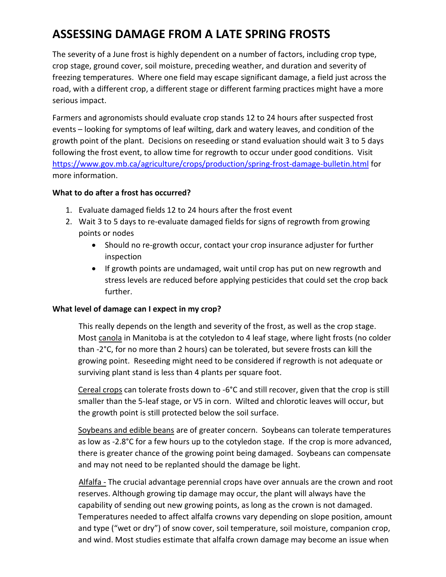# **ASSESSING DAMAGE FROM A LATE SPRING FROSTS**

The severity of a June frost is highly dependent on a number of factors, including crop type, crop stage, ground cover, soil moisture, preceding weather, and duration and severity of freezing temperatures. Where one field may escape significant damage, a field just across the road, with a different crop, a different stage or different farming practices might have a more serious impact.

Farmers and agronomists should evaluate crop stands 12 to 24 hours after suspected frost events – looking for symptoms of leaf wilting, dark and watery leaves, and condition of the growth point of the plant. Decisions on reseeding or stand evaluation should wait 3 to 5 days following the frost event, to allow time for regrowth to occur under good conditions. Visit <https://www.gov.mb.ca/agriculture/crops/production/spring-frost-damage-bulletin.html> for more information.

## **What to do after a frost has occurred?**

- 1. Evaluate damaged fields 12 to 24 hours after the frost event
- 2. Wait 3 to 5 days to re-evaluate damaged fields for signs of regrowth from growing points or nodes
	- Should no re-growth occur, contact your crop insurance adjuster for further inspection
	- If growth points are undamaged, wait until crop has put on new regrowth and stress levels are reduced before applying pesticides that could set the crop back further.

# **What level of damage can I expect in my crop?**

This really depends on the length and severity of the frost, as well as the crop stage. Most canola in Manitoba is at the cotyledon to 4 leaf stage, where light frosts (no colder than -2°C, for no more than 2 hours) can be tolerated, but severe frosts can kill the growing point. Reseeding might need to be considered if regrowth is not adequate or surviving plant stand is less than 4 plants per square foot.

Cereal crops can tolerate frosts down to -6°C and still recover, given that the crop is still smaller than the 5-leaf stage, or V5 in corn. Wilted and chlorotic leaves will occur, but the growth point is still protected below the soil surface.

Soybeans and edible beans are of greater concern. Soybeans can tolerate temperatures as low as -2.8°C for a few hours up to the cotyledon stage. If the crop is more advanced, there is greater chance of the growing point being damaged. Soybeans can compensate and may not need to be replanted should the damage be light.

Alfalfa - The crucial advantage perennial crops have over annuals are the crown and root reserves. Although growing tip damage may occur, the plant will always have the capability of sending out new growing points, as long as the crown is not damaged. Temperatures needed to affect alfalfa crowns vary depending on slope position, amount and type ("wet or dry") of snow cover, soil temperature, soil moisture, companion crop, and wind. Most studies estimate that alfalfa crown damage may become an issue when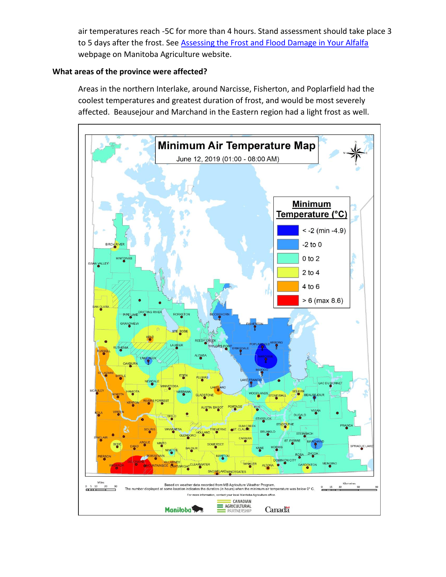air temperatures reach -5C for more than 4 hours. Stand assessment should take place 3 to 5 days after the frost. See [Assessing the Frost and Flood Damage in Your Alfalfa](https://www.gov.mb.ca/agriculture/crops/crop-management/forages/assessing-the-frost-and-flood-damage-in-your-alfalfa.html) webpage on Manitoba Agriculture website.

### **What areas of the province were affected?**

Areas in the northern Interlake, around Narcisse, Fisherton, and Poplarfield had the coolest temperatures and greatest duration of frost, and would be most severely affected. Beausejour and Marchand in the Eastern region had a light frost as well.